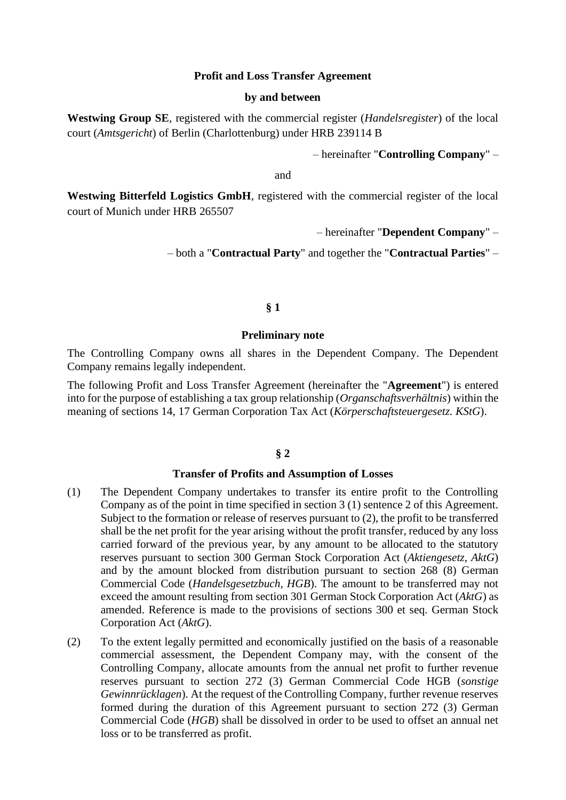## **Profit and Loss Transfer Agreement**

### **by and between**

**Westwing Group SE**, registered with the commercial register (*Handelsregister*) of the local court (*Amtsgericht*) of Berlin (Charlottenburg) under HRB 239114 B

– hereinafter "**Controlling Company**" –

and

**Westwing Bitterfeld Logistics GmbH**, registered with the commercial register of the local court of Munich under HRB 265507

– hereinafter "**Dependent Company**" –

– both a "**Contractual Party**" and together the "**Contractual Parties**" –

# **§ 1**

### **Preliminary note**

The Controlling Company owns all shares in the Dependent Company. The Dependent Company remains legally independent.

The following Profit and Loss Transfer Agreement (hereinafter the "**Agreement**") is entered into for the purpose of establishing a tax group relationship (*Organschaftsverhältnis*) within the meaning of sections 14, 17 German Corporation Tax Act (*Körperschaftsteuergesetz. KStG*).

# **§ 2**

## **Transfer of Profits and Assumption of Losses**

- (1) The Dependent Company undertakes to transfer its entire profit to the Controlling Company as of the point in time specified in section 3 (1) sentence 2 of this Agreement. Subject to the formation or release of reserves pursuant to (2), the profit to be transferred shall be the net profit for the year arising without the profit transfer, reduced by any loss carried forward of the previous year, by any amount to be allocated to the statutory reserves pursuant to section 300 German Stock Corporation Act (*Aktiengesetz*, *AktG*) and by the amount blocked from distribution pursuant to section 268 (8) German Commercial Code (*Handelsgesetzbuch, HGB*). The amount to be transferred may not exceed the amount resulting from section 301 German Stock Corporation Act (*AktG*) as amended. Reference is made to the provisions of sections 300 et seq. German Stock Corporation Act (*AktG*).
- (2) To the extent legally permitted and economically justified on the basis of a reasonable commercial assessment, the Dependent Company may, with the consent of the Controlling Company, allocate amounts from the annual net profit to further revenue reserves pursuant to section 272 (3) German Commercial Code HGB (*sonstige Gewinnrücklagen*). At the request of the Controlling Company, further revenue reserves formed during the duration of this Agreement pursuant to section 272 (3) German Commercial Code (*HGB*) shall be dissolved in order to be used to offset an annual net loss or to be transferred as profit.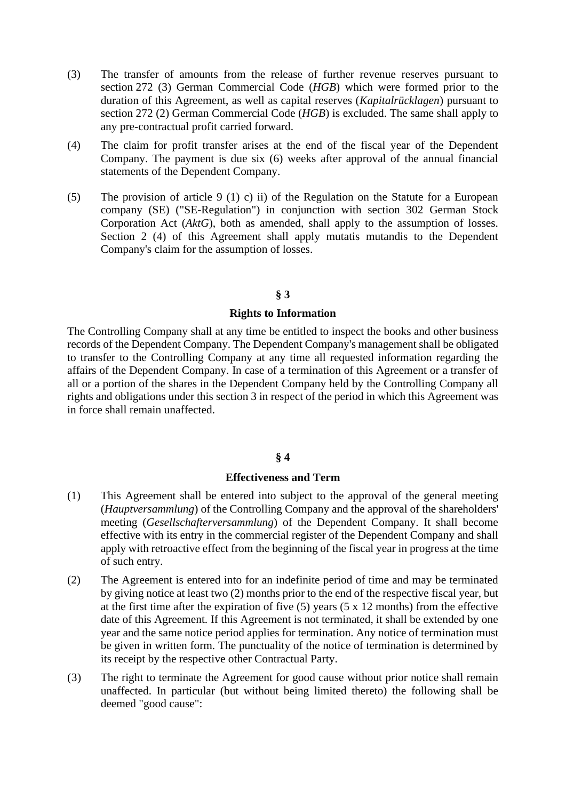- (3) The transfer of amounts from the release of further revenue reserves pursuant to section 272 (3) German Commercial Code (*HGB*) which were formed prior to the duration of this Agreement, as well as capital reserves (*Kapitalrücklagen*) pursuant to section 272 (2) German Commercial Code (*HGB*) is excluded. The same shall apply to any pre-contractual profit carried forward.
- (4) The claim for profit transfer arises at the end of the fiscal year of the Dependent Company. The payment is due six (6) weeks after approval of the annual financial statements of the Dependent Company.
- (5) The provision of article 9 (1) c) ii) of the Regulation on the Statute for a European company (SE) ("SE-Regulation") in conjunction with section 302 German Stock Corporation Act (*AktG*), both as amended, shall apply to the assumption of losses. Section 2 (4) of this Agreement shall apply mutatis mutandis to the Dependent Company's claim for the assumption of losses.

## **§ 3**

#### **Rights to Information**

The Controlling Company shall at any time be entitled to inspect the books and other business records of the Dependent Company. The Dependent Company's management shall be obligated to transfer to the Controlling Company at any time all requested information regarding the affairs of the Dependent Company. In case of a termination of this Agreement or a transfer of all or a portion of the shares in the Dependent Company held by the Controlling Company all rights and obligations under this section 3 in respect of the period in which this Agreement was in force shall remain unaffected.

# **§ 4**

#### **Effectiveness and Term**

- (1) This Agreement shall be entered into subject to the approval of the general meeting (*Hauptversammlung*) of the Controlling Company and the approval of the shareholders' meeting (*Gesellschafterversammlung*) of the Dependent Company. It shall become effective with its entry in the commercial register of the Dependent Company and shall apply with retroactive effect from the beginning of the fiscal year in progress at the time of such entry.
- (2) The Agreement is entered into for an indefinite period of time and may be terminated by giving notice at least two (2) months prior to the end of the respective fiscal year, but at the first time after the expiration of five (5) years (5 x 12 months) from the effective date of this Agreement. If this Agreement is not terminated, it shall be extended by one year and the same notice period applies for termination. Any notice of termination must be given in written form. The punctuality of the notice of termination is determined by its receipt by the respective other Contractual Party.
- (3) The right to terminate the Agreement for good cause without prior notice shall remain unaffected. In particular (but without being limited thereto) the following shall be deemed "good cause":